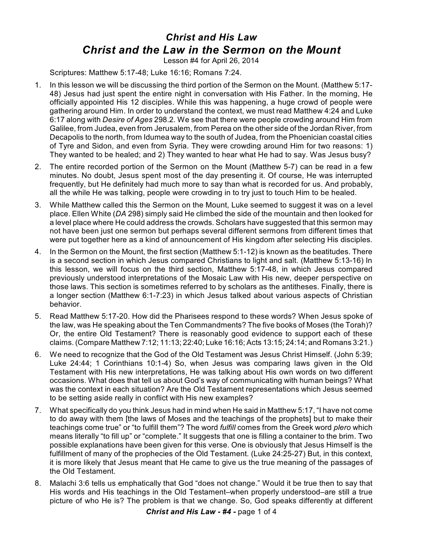## *Christ and His Law Christ and the Law in the Sermon on the Mount*

Lesson #4 for April 26, 2014

Scriptures: Matthew 5:17-48; Luke 16:16; Romans 7:24.

- 1. In this lesson we will be discussing the third portion of the Sermon on the Mount. (Matthew 5:17- 48) Jesus had just spent the entire night in conversation with His Father. In the morning, He officially appointed His 12 disciples. While this was happening, a huge crowd of people were gathering around Him. In order to understand the context, we must read Matthew 4:24 and Luke 6:17 along with *Desire of Ages* 298.2. We see that there were people crowding around Him from Galilee, from Judea, even from Jerusalem, from Perea on the other side of the Jordan River, from Decapolis to the north, from Idumea way to the south of Judea, from the Phoenician coastal cities of Tyre and Sidon, and even from Syria. They were crowding around Him for two reasons: 1) They wanted to be healed; and 2) They wanted to hear what He had to say. Was Jesus busy?
- 2. The entire recorded portion of the Sermon on the Mount (Matthew 5-7) can be read in a few minutes. No doubt, Jesus spent most of the day presenting it. Of course, He was interrupted frequently, but He definitely had much more to say than what is recorded for us. And probably, all the while He was talking, people were crowding in to try just to touch Him to be healed.
- 3. While Matthew called this the Sermon on the Mount, Luke seemed to suggest it was on a level place. Ellen White (*DA* 298) simply said He climbed the side of the mountain and then looked for a level place where He could address the crowds. Scholars have suggested that this sermon may not have been just one sermon but perhaps several different sermons from different times that were put together here as a kind of announcement of His kingdom after selecting His disciples.
- 4. In the Sermon on the Mount, the first section (Matthew 5:1-12) is known as the beatitudes. There is a second section in which Jesus compared Christians to light and salt. (Matthew 5:13-16) In this lesson, we will focus on the third section, Matthew 5:17-48, in which Jesus compared previously understood interpretations of the Mosaic Law with His new, deeper perspective on those laws. This section is sometimes referred to by scholars as the antitheses. Finally, there is a longer section (Matthew 6:1-7:23) in which Jesus talked about various aspects of Christian behavior.
- 5. Read Matthew 5:17-20. How did the Pharisees respond to these words? When Jesus spoke of the law, was He speaking about the Ten Commandments? The five books of Moses (the Torah)? Or, the entire Old Testament? There is reasonably good evidence to support each of these claims. (Compare Matthew 7:12; 11:13; 22:40; Luke 16:16; Acts 13:15; 24:14; and Romans 3:21.)
- 6. We need to recognize that the God of the Old Testament was Jesus Christ Himself. (John 5:39; Luke 24:44; 1 Corinthians 10:1-4) So, when Jesus was comparing laws given in the Old Testament with His new interpretations, He was talking about His own words on two different occasions. What does that tell us about God's way of communicating with human beings? What was the context in each situation? Are the Old Testament representations which Jesus seemed to be setting aside really in conflict with His new examples?
- 7. What specifically do you think Jesus had in mind when He said in Matthew 5:17, "I have not come to do away with them [the laws of Moses and the teachings of the prophets] but to make their teachings come true" or "to fulfill them"? The word *fulfill* comes from the Greek word *plero* which means literally "to fill up" or "complete." It suggests that one is filling a container to the brim. Two possible explanations have been given for this verse. One is obviously that Jesus Himself is the fulfillment of many of the prophecies of the Old Testament. (Luke 24:25-27) But, in this context, it is more likely that Jesus meant that He came to give us the true meaning of the passages of the Old Testament.
- 8. Malachi 3:6 tells us emphatically that God "does not change." Would it be true then to say that His words and His teachings in the Old Testament–when properly understood–are still a true picture of who He is? The problem is that we change. So, God speaks differently at different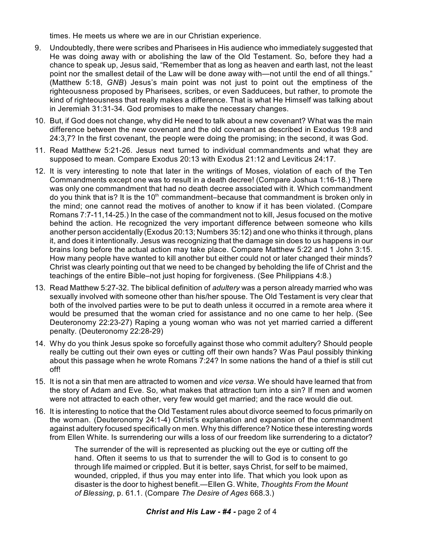times. He meets us where we are in our Christian experience.

- 9. Undoubtedly, there were scribes and Pharisees in His audience who immediately suggested that He was doing away with or abolishing the law of the Old Testament. So, before they had a chance to speak up, Jesus said, "Remember that as long as heaven and earth last, not the least point nor the smallest detail of the Law will be done away with—not until the end of all things." (Matthew 5:18, *GNB*) Jesus's main point was not just to point out the emptiness of the righteousness proposed by Pharisees, scribes, or even Sadducees, but rather, to promote the kind of righteousness that really makes a difference. That is what He Himself was talking about in Jeremiah 31:31-34. God promises to make the necessary changes.
- 10. But, if God does not change, why did He need to talk about a new covenant? What was the main difference between the new covenant and the old covenant as described in Exodus 19:8 and 24:3,7? In the first covenant, the people were doing the promising; in the second, it was God.
- 11. Read Matthew 5:21-26. Jesus next turned to individual commandments and what they are supposed to mean. Compare Exodus 20:13 with Exodus 21:12 and Leviticus 24:17.
- 12. It is very interesting to note that later in the writings of Moses, violation of each of the Ten Commandments except one was to result in a death decree! (Compare Joshua 1:16-18.) There was only one commandment that had no death decree associated with it. Which commandment do you think that is? It is the  $10<sup>th</sup>$  commandment–because that commandment is broken only in the mind; one cannot read the motives of another to know if it has been violated. (Compare Romans 7:7-11,14-25.) In the case of the commandment not to kill, Jesus focused on the motive behind the action. He recognized the very important difference between someone who kills another person accidentally (Exodus 20:13; Numbers 35:12) and one who thinks it through, plans it, and does it intentionally. Jesus was recognizing that the damage sin does to us happens in our brains long before the actual action may take place. Compare Matthew 5:22 and 1 John 3:15. How many people have wanted to kill another but either could not or later changed their minds? Christ was clearly pointing out that we need to be changed by beholding the life of Christ and the teachings of the entire Bible–not just hoping for forgiveness. (See Philippians 4:8.)
- 13. Read Matthew 5:27-32. The biblical definition of *adultery* was a person already married who was sexually involved with someone other than his/her spouse. The Old Testament is very clear that both of the involved parties were to be put to death unless it occurred in a remote area where it would be presumed that the woman cried for assistance and no one came to her help. (See Deuteronomy 22:23-27) Raping a young woman who was not yet married carried a different penalty. (Deuteronomy 22:28-29)
- 14. Why do you think Jesus spoke so forcefully against those who commit adultery? Should people really be cutting out their own eyes or cutting off their own hands? Was Paul possibly thinking about this passage when he wrote Romans 7:24? In some nations the hand of a thief is still cut off!
- 15. It is not a sin that men are attracted to women and *vice versa*. We should have learned that from the story of Adam and Eve. So, what makes that attraction turn into a sin? If men and women were not attracted to each other, very few would get married; and the race would die out.
- 16. It is interesting to notice that the Old Testament rules about divorce seemed to focus primarily on the woman. (Deuteronomy 24:1-4) Christ's explanation and expansion of the commandment against adultery focused specifically on men. Why this difference? Notice these interesting words from Ellen White. Is surrendering our wills a loss of our freedom like surrendering to a dictator?

The surrender of the will is represented as plucking out the eye or cutting off the hand. Often it seems to us that to surrender the will to God is to consent to go through life maimed or crippled. But it is better, says Christ, for self to be maimed, wounded, crippled, if thus you may enter into life. That which you look upon as disaster is the door to highest benefit.—Ellen G. White, *Thoughts From the Mount of Blessing*, p. 61.1. (Compare *The Desire of Ages* 668.3.)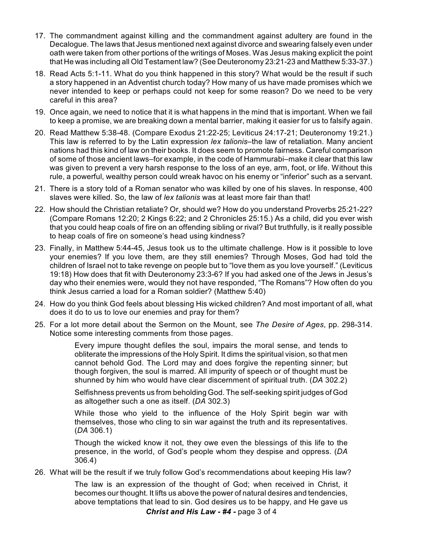- 17. The commandment against killing and the commandment against adultery are found in the Decalogue. The laws that Jesus mentioned next against divorce and swearing falsely even under oath were taken from other portions of the writings of Moses. Was Jesus making explicit the point that He was including all Old Testament law? (See Deuteronomy 23:21-23 and Matthew 5:33-37.)
- 18. Read Acts 5:1-11. What do you think happened in this story? What would be the result if such a story happened in an Adventist church today? How many of us have made promises which we never intended to keep or perhaps could not keep for some reason? Do we need to be very careful in this area?
- 19. Once again, we need to notice that it is what happens in the mind that is important. When we fail to keep a promise, we are breaking down a mental barrier, making it easier for us to falsify again.
- 20. Read Matthew 5:38-48. (Compare Exodus 21:22-25; Leviticus 24:17-21; Deuteronomy 19:21.) This law is referred to by the Latin expression *lex talionis*–the law of retaliation. Many ancient nations had this kind of law on their books. It does seem to promote fairness. Careful comparison of some of those ancient laws–for example, in the code of Hammurabi–make it clear that this law was given to prevent a very harsh response to the loss of an eye, arm, foot, or life. Without this rule, a powerful, wealthy person could wreak havoc on his enemy or "inferior" such as a servant.
- 21. There is a story told of a Roman senator who was killed by one of his slaves. In response, 400 slaves were killed. So, the law of *lex talionis* was at least more fair than that!
- 22. How should the Christian retaliate? Or, should we? How do you understand Proverbs 25:21-22? (Compare Romans 12:20; 2 Kings 6:22; and 2 Chronicles 25:15.) As a child, did you ever wish that you could heap coals of fire on an offending sibling or rival? But truthfully, is it really possible to heap coals of fire on someone's head using kindness?
- 23. Finally, in Matthew 5:44-45, Jesus took us to the ultimate challenge. How is it possible to love your enemies? If you love them, are they still enemies? Through Moses, God had told the children of Israel not to take revenge on people but to "love them as you love yourself." (Leviticus 19:18) How does that fit with Deuteronomy 23:3-6? If you had asked one of the Jews in Jesus's day who their enemies were, would they not have responded, "The Romans"? How often do you think Jesus carried a load for a Roman soldier? (Matthew 5:40)
- 24. How do you think God feels about blessing His wicked children? And most important of all, what does it do to us to love our enemies and pray for them?
- 25. For a lot more detail about the Sermon on the Mount, see *The Desire of Ages*, pp. 298-314. Notice some interesting comments from those pages.

Every impure thought defiles the soul, impairs the moral sense, and tends to obliterate the impressions of the Holy Spirit. It dims the spiritual vision, so that men cannot behold God. The Lord may and does forgive the repenting sinner; but though forgiven, the soul is marred. All impurity of speech or of thought must be shunned by him who would have clear discernment of spiritual truth. (*DA* 302.2)

Selfishness prevents us from beholding God. The self-seeking spirit judges of God as altogether such a one as itself. (*DA* 302.3)

While those who yield to the influence of the Holy Spirit begin war with themselves, those who cling to sin war against the truth and its representatives. (*DA* 306.1)

Though the wicked know it not, they owe even the blessings of this life to the presence, in the world, of God's people whom they despise and oppress. (*DA* 306.4)

26. What will be the result if we truly follow God's recommendations about keeping His law?

The law is an expression of the thought of God; when received in Christ, it becomes our thought. It lifts us above the power of natural desires and tendencies, above temptations that lead to sin. God desires us to be happy, and He gave us